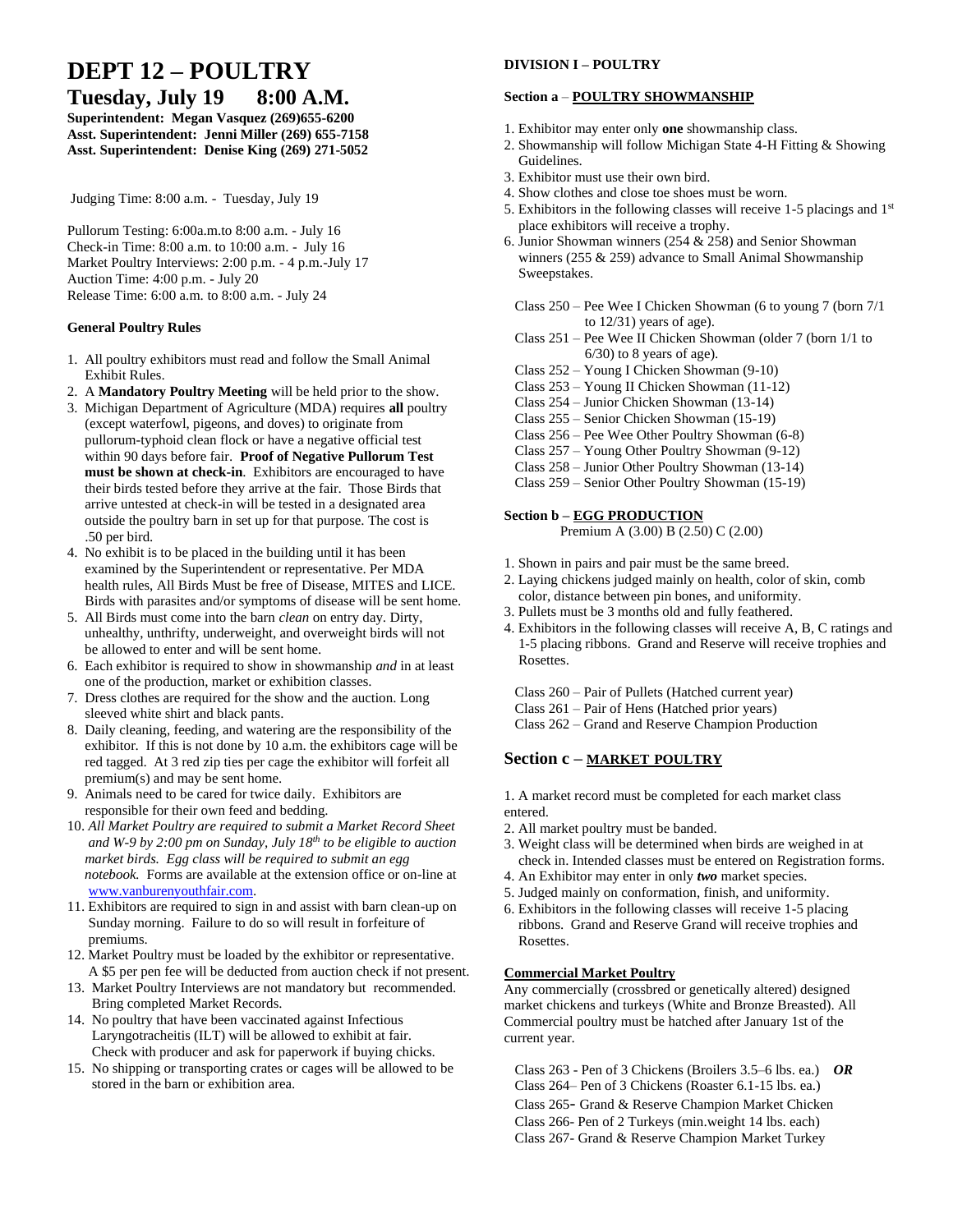# **DEPT 12 – POULTRY**

**Tuesday, July 19 8:00 A.M. Superintendent: Megan Vasquez (269)655-6200 Asst. Superintendent: Jenni Miller (269) 655-7158 Asst. Superintendent: Denise King (269) 271-5052**

Judging Time: 8:00 a.m. - Tuesday, July 19

Pullorum Testing: 6:00a.m.to 8:00 a.m. - July 16 Check-in Time: 8:00 a.m. to 10:00 a.m. - July 16 Market Poultry Interviews: 2:00 p.m. - 4 p.m.-July 17 Auction Time: 4:00 p.m. - July 20 Release Time: 6:00 a.m. to 8:00 a.m. - July 24

# **General Poultry Rules**

- 1. All poultry exhibitors must read and follow the Small Animal Exhibit Rules.
- 2. A **Mandatory Poultry Meeting** will be held prior to the show.
- 3. Michigan Department of Agriculture (MDA) requires **all** poultry (except waterfowl, pigeons, and doves) to originate from pullorum-typhoid clean flock or have a negative official test within 90 days before fair. **Proof of Negative Pullorum Test must be shown at check-in**. Exhibitors are encouraged to have their birds tested before they arrive at the fair. Those Birds that arrive untested at check-in will be tested in a designated area outside the poultry barn in set up for that purpose. The cost is .50 per bird.
- 4. No exhibit is to be placed in the building until it has been examined by the Superintendent or representative. Per MDA health rules, All Birds Must be free of Disease, MITES and LICE. Birds with parasites and/or symptoms of disease will be sent home.
- 5. All Birds must come into the barn *clean* on entry day. Dirty, unhealthy, unthrifty, underweight, and overweight birds will not be allowed to enter and will be sent home.
- 6. Each exhibitor is required to show in showmanship *and* in at least one of the production, market or exhibition classes.
- 7. Dress clothes are required for the show and the auction. Long sleeved white shirt and black pants.
- 8. Daily cleaning, feeding, and watering are the responsibility of the exhibitor. If this is not done by 10 a.m. the exhibitors cage will be red tagged. At 3 red zip ties per cage the exhibitor will forfeit all premium(s) and may be sent home.
- 9. Animals need to be cared for twice daily. Exhibitors are responsible for their own feed and bedding.
- 10. *All Market Poultry are required to submit a Market Record Sheet and W-9 by 2:00 pm on Sunday, July 18 th to be eligible to auction market birds. Egg class will be required to submit an egg notebook.* Forms are available at the extension office or on-line at [www.vanburenyouthfair.com.](http://www.vanburenyouthfair.com/)
- 11. Exhibitors are required to sign in and assist with barn clean-up on Sunday morning. Failure to do so will result in forfeiture of premiums.
- 12. Market Poultry must be loaded by the exhibitor or representative. A \$5 per pen fee will be deducted from auction check if not present.
- 13. Market Poultry Interviews are not mandatory but recommended. Bring completed Market Records.
- 14. No poultry that have been vaccinated against Infectious Laryngotracheitis (ILT) will be allowed to exhibit at fair. Check with producer and ask for paperwork if buying chicks.
- 15. No shipping or transporting crates or cages will be allowed to be stored in the barn or exhibition area.

# **DIVISION I – POULTRY**

# **Section a** – **POULTRY SHOWMANSHIP**

- 1. Exhibitor may enter only **one** showmanship class.
- 2. Showmanship will follow Michigan State 4-H Fitting & Showing Guidelines.
- 3. Exhibitor must use their own bird.
- 4. Show clothes and close toe shoes must be worn.
- 5. Exhibitors in the following classes will receive 1-5 placings and 1<sup>st</sup> place exhibitors will receive a trophy.
- 6. Junior Showman winners (254 & 258) and Senior Showman winners (255 & 259) advance to Small Animal Showmanship Sweepstakes.
- Class 250 Pee Wee I Chicken Showman (6 to young 7 (born 7/1 to 12/31) years of age).
- Class 251 Pee Wee II Chicken Showman (older 7 (born 1/1 to 6/30) to 8 years of age).
- Class 252 Young I Chicken Showman (9-10)
- Class 253 Young II Chicken Showman (11-12)
- Class 254 Junior Chicken Showman (13-14)
- Class 255 Senior Chicken Showman (15-19)
- Class 256 Pee Wee Other Poultry Showman (6-8)
- Class 257 Young Other Poultry Showman (9-12)
- Class 258 Junior Other Poultry Showman (13-14) Class 259 – Senior Other Poultry Showman (15-19)

# **Section b – EGG PRODUCTION**

Premium A (3.00) B (2.50) C (2.00)

- 1. Shown in pairs and pair must be the same breed.
- 2. Laying chickens judged mainly on health, color of skin, comb color, distance between pin bones, and uniformity.
- 3. Pullets must be 3 months old and fully feathered.
- 4. Exhibitors in the following classes will receive A, B, C ratings and 1-5 placing ribbons. Grand and Reserve will receive trophies and Rosettes.

 Class 260 – Pair of Pullets (Hatched current year) Class 261 – Pair of Hens (Hatched prior years) Class 262 – Grand and Reserve Champion Production

# **Section c – MARKET POULTRY**

1. A market record must be completed for each market class entered.

- 2. All market poultry must be banded.
- 3. Weight class will be determined when birds are weighed in at check in. Intended classes must be entered on Registration forms.
- 4. An Exhibitor may enter in only *two* market species.
- 5. Judged mainly on conformation, finish, and uniformity.
- 6. Exhibitors in the following classes will receive 1-5 placing ribbons. Grand and Reserve Grand will receive trophies and Rosettes.

# **Commercial Market Poultry**

Any commercially (crossbred or genetically altered) designed market chickens and turkeys (White and Bronze Breasted). All Commercial poultry must be hatched after January 1st of the current year.

 Class 263 - Pen of 3 Chickens (Broilers 3.5–6 lbs. ea.) *OR* Class 264– Pen of 3 Chickens (Roaster 6.1-15 lbs. ea.) Class 265- Grand & Reserve Champion Market Chicken Class 266- Pen of 2 Turkeys (min.weight 14 lbs. each) Class 267- Grand & Reserve Champion Market Turkey